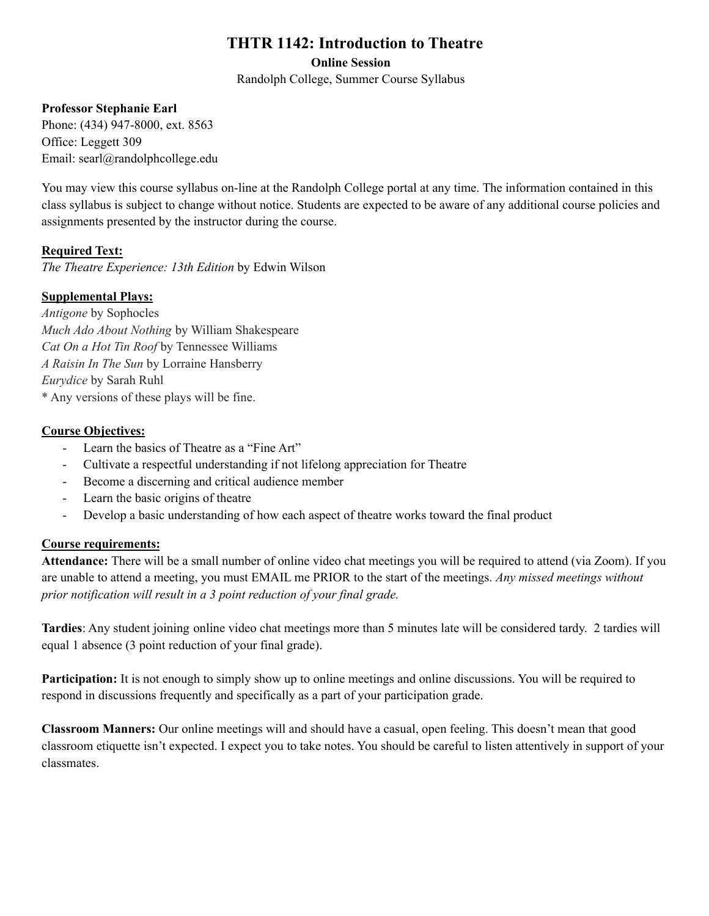# **THTR 1142: Introduction to Theatre**

#### **Online Session**

Randolph College, Summer Course Syllabus

## **Professor Stephanie Earl**

Phone: (434) 947-8000, ext. 8563 Office: Leggett 309 Email: [searl@randolphcollege.edu](mailto:searl@randolphcollege.edu)

You may view this course syllabus on-line at the Randolph College portal at any time. The information contained in this class syllabus is subject to change without notice. Students are expected to be aware of any additional course policies and assignments presented by the instructor during the course.

## **Required Text:**

*The Theatre Experience: 13th Edition* by Edwin Wilson

## **Supplemental Plays:**

*Antigone* by Sophocles *Much Ado About Nothing* by William Shakespeare *Cat On a Hot Tin Roof* by Tennessee Williams *A Raisin In The Sun* by Lorraine Hansberry *Eurydice* by Sarah Ruhl \* Any versions of these plays will be fine.

### **Course Objectives:**

- Learn the basics of Theatre as a "Fine Art"
- Cultivate a respectful understanding if not lifelong appreciation for Theatre
- Become a discerning and critical audience member
- Learn the basic origins of theatre
- Develop a basic understanding of how each aspect of theatre works toward the final product

### **Course requirements:**

**Attendance:** There will be a small number of online video chat meetings you will be required to attend (via Zoom). If you are unable to attend a meeting, you must EMAIL me PRIOR to the start of the meetings. *Any missed meetings without prior notification will result in a 3 point reduction of your final grade.*

**Tardies**: Any student joining online video chat meetings more than 5 minutes late will be considered tardy. 2 tardies will equal 1 absence (3 point reduction of your final grade).

**Participation:** It is not enough to simply show up to online meetings and online discussions. You will be required to respond in discussions frequently and specifically as a part of your participation grade.

**Classroom Manners:** Our online meetings will and should have a casual, open feeling. This doesn't mean that good classroom etiquette isn't expected. I expect you to take notes. You should be careful to listen attentively in support of your classmates.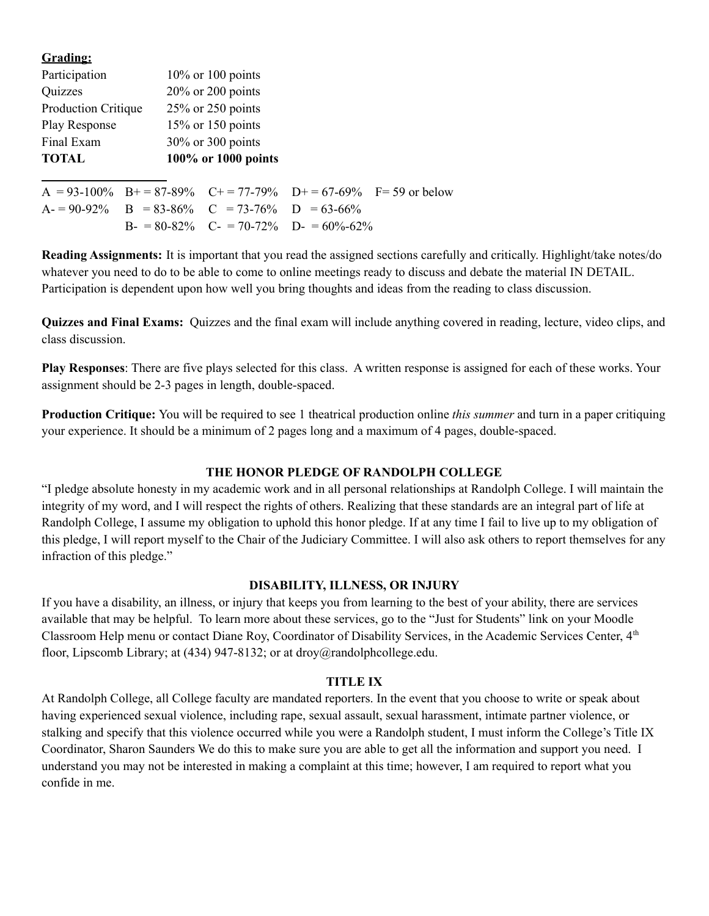| Grading:             |                                                                   |  |
|----------------------|-------------------------------------------------------------------|--|
| Participation        | $10\%$ or 100 points                                              |  |
| Quizzes              | $20\%$ or 200 points                                              |  |
| Production Critique  | $25\%$ or 250 points                                              |  |
| <b>Play Response</b> | $15\%$ or 150 points                                              |  |
| Final Exam           | 30% or 300 points                                                 |  |
| <b>TOTAL</b>         | 100% or 1000 points                                               |  |
|                      | $A = 93-100\%$ B+ = 87-89% C+ = 77-79% D+ = 67-69% F= 59 or below |  |
|                      | $A = 90-92\%$ B = 83-86% C = 73-76% D = 63-66%                    |  |

 $B_7 = 80-82\%$   $C_7 = 70-72\%$   $D_7 = 60\% - 62\%$ 

**Reading Assignments:** It is important that you read the assigned sections carefully and critically. Highlight/take notes/do whatever you need to do to be able to come to online meetings ready to discuss and debate the material IN DETAIL. Participation is dependent upon how well you bring thoughts and ideas from the reading to class discussion.

**Quizzes and Final Exams:** Quizzes and the final exam will include anything covered in reading, lecture, video clips, and class discussion.

**Play Responses**: There are five plays selected for this class. A written response is assigned for each of these works. Your assignment should be 2-3 pages in length, double-spaced.

**Production Critique:** You will be required to see 1 theatrical production online *this summer* and turn in a paper critiquing your experience. It should be a minimum of 2 pages long and a maximum of 4 pages, double-spaced.

#### **THE HONOR PLEDGE OF RANDOLPH COLLEGE**

"I pledge absolute honesty in my academic work and in all personal relationships at Randolph College. I will maintain the integrity of my word, and I will respect the rights of others. Realizing that these standards are an integral part of life at Randolph College, I assume my obligation to uphold this honor pledge. If at any time I fail to live up to my obligation of this pledge, I will report myself to the Chair of the Judiciary Committee. I will also ask others to report themselves for any infraction of this pledge."

#### **DISABILITY, ILLNESS, OR INJURY**

If you have a disability, an illness, or injury that keeps you from learning to the best of your ability, there are services available that may be helpful. To learn more about these services, go to the "Just for Students" link on your Moodle Classroom Help menu or contact Diane Roy, Coordinator of Disability Services, in the Academic Services Center, 4<sup>th</sup> floor, Lipscomb Library; at (434) 947-8132; or at droy[@randolphcollege.edu](mailto:tbarnes@randolphcollege.edu).

#### **TITLE IX**

At Randolph College, all College faculty are mandated reporters. In the event that you choose to write or speak about having experienced sexual violence, including rape, sexual assault, sexual harassment, intimate partner violence, or stalking and specify that this violence occurred while you were a Randolph student, I must inform the College's Title IX Coordinator, Sharon Saunders We do this to make sure you are able to get all the information and support you need. I understand you may not be interested in making a complaint at this time; however, I am required to report what you confide in me.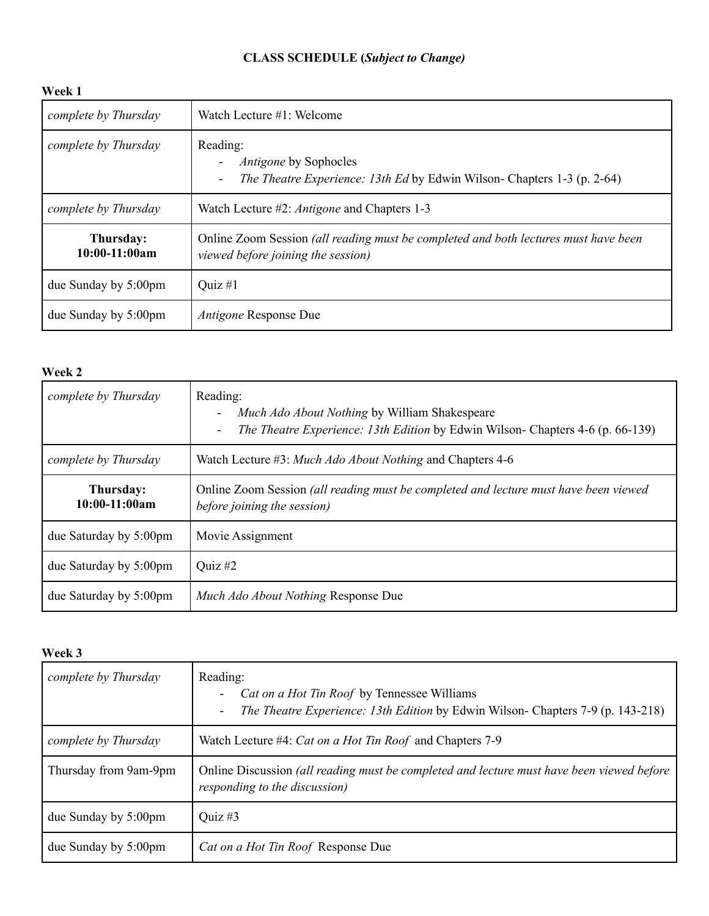## **CLASS SCHEDULE (***Subject to Change)*

## **Week 1**

| complete by Thursday         | Watch Lecture #1: Welcome                                                                                                 |
|------------------------------|---------------------------------------------------------------------------------------------------------------------------|
| complete by Thursday         | Reading:<br><i>Antigone</i> by Sophocles<br>The Theatre Experience: 13th Ed by Edwin Wilson-Chapters 1-3 (p. 2-64)<br>-   |
| complete by Thursday         | Watch Lecture #2: <i>Antigone</i> and Chapters 1-3                                                                        |
| Thursday:<br>$10:00-11:00am$ | Online Zoom Session (all reading must be completed and both lectures must have been<br>viewed before joining the session) |
| due Sunday by 5:00pm         | Quiz $#1$                                                                                                                 |
| due Sunday by 5:00pm         | <i>Antigone</i> Response Due                                                                                              |

### **Week 2**

| complete by Thursday         | Reading:<br>Much Ado About Nothing by William Shakespeare<br>$\overline{\phantom{a}}$<br><i>The Theatre Experience: 13th Edition by Edwin Wilson-Chapters 4-6 (p. 66-139)</i> |
|------------------------------|-------------------------------------------------------------------------------------------------------------------------------------------------------------------------------|
| complete by Thursday         | Watch Lecture #3: Much Ado About Nothing and Chapters 4-6                                                                                                                     |
| Thursday:<br>$10:00-11:00am$ | Online Zoom Session (all reading must be completed and lecture must have been viewed<br>before joining the session)                                                           |
| due Saturday by 5:00pm       | Movie Assignment                                                                                                                                                              |
| due Saturday by 5:00pm       | Quiz $#2$                                                                                                                                                                     |
| due Saturday by 5:00pm       | Much Ado About Nothing Response Due                                                                                                                                           |

## **Week 3**

| complete by Thursday  | Reading:<br>Cat on a Hot Tin Roof by Tennessee Williams<br><i>The Theatre Experience: 13th Edition by Edwin Wilson- Chapters 7-9 (p. 143-218)</i><br>$\overline{\phantom{a}}$ |  |
|-----------------------|-------------------------------------------------------------------------------------------------------------------------------------------------------------------------------|--|
| complete by Thursday  | Watch Lecture #4: <i>Cat on a Hot Tin Roof</i> and Chapters 7-9                                                                                                               |  |
| Thursday from 9am-9pm | Online Discussion (all reading must be completed and lecture must have been viewed before<br>responding to the discussion)                                                    |  |
| due Sunday by 5:00pm  | Quiz $#3$                                                                                                                                                                     |  |
| due Sunday by 5:00pm  | Cat on a Hot Tin Roof Response Due                                                                                                                                            |  |